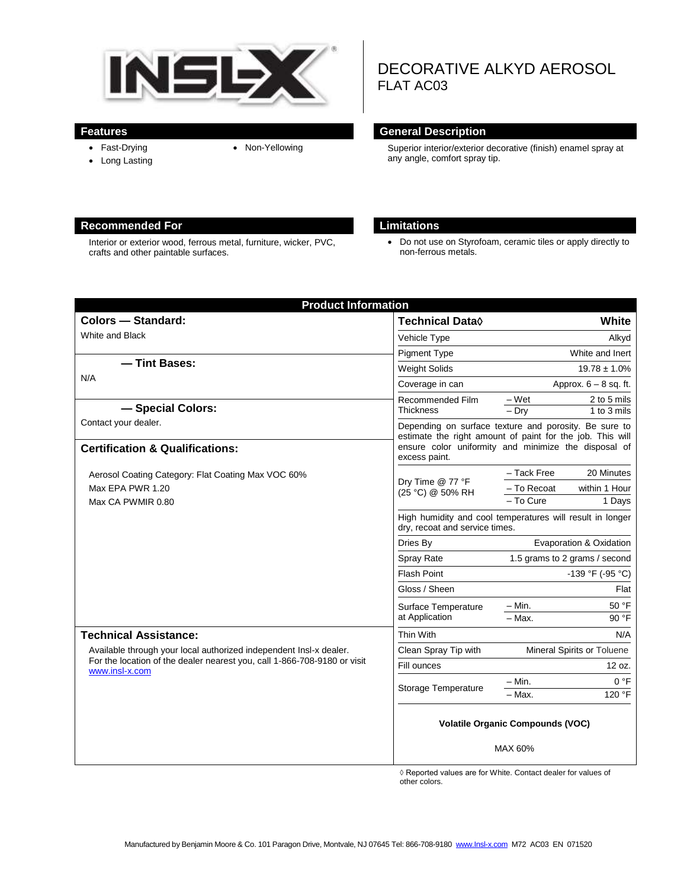

## **Features General Description**

• Fast-Drying

• Long Lasting

FLAT AC03

• Non-Yellowing Superior interior/exterior decorative (finish) enamel spray at any angle, comfort spray tip.

DECORATIVE ALKYD AEROSOL

### **Recommended For Limitations**

Interior or exterior wood, ferrous metal, furniture, wicker, PVC, crafts and other paintable surfaces.

 Do not use on Styrofoam, ceramic tiles or apply directly to non-ferrous metals.

| <b>Product Information</b>                                                                                                                                       |                                                                                                                    |                               |                            |
|------------------------------------------------------------------------------------------------------------------------------------------------------------------|--------------------------------------------------------------------------------------------------------------------|-------------------------------|----------------------------|
| <b>Colors - Standard:</b>                                                                                                                                        | <b>Technical Data</b> ♦                                                                                            |                               | White                      |
| White and Black                                                                                                                                                  | Vehicle Type                                                                                                       |                               | Alkyd                      |
|                                                                                                                                                                  | <b>Pigment Type</b>                                                                                                |                               | White and Inert            |
| -Tint Bases:<br>N/A                                                                                                                                              | <b>Weight Solids</b>                                                                                               | $19.78 \pm 1.0\%$             |                            |
|                                                                                                                                                                  | Coverage in can                                                                                                    | Approx. $6 - 8$ sq. ft.       |                            |
| - Special Colors:                                                                                                                                                | Recommended Film<br><b>Thickness</b>                                                                               | – Wet<br>$-$ Dry              | 2 to 5 mils<br>1 to 3 mils |
| Contact your dealer.                                                                                                                                             | Depending on surface texture and porosity. Be sure to<br>estimate the right amount of paint for the job. This will |                               |                            |
| <b>Certification &amp; Qualifications:</b>                                                                                                                       | ensure color uniformity and minimize the disposal of<br>excess paint.                                              |                               |                            |
| Aerosol Coating Category: Flat Coating Max VOC 60%                                                                                                               | - Tack Free                                                                                                        | 20 Minutes                    |                            |
| Max EPA PWR 1.20                                                                                                                                                 | Dry Time @ 77 °F<br>(25 °C) @ 50% RH                                                                               | - To Recoat                   | within 1 Hour              |
| Max CA PWMIR 0.80                                                                                                                                                |                                                                                                                    | - To Cure                     | 1 Days                     |
|                                                                                                                                                                  | High humidity and cool temperatures will result in longer<br>dry, recoat and service times.                        |                               |                            |
|                                                                                                                                                                  | Dries By                                                                                                           | Evaporation & Oxidation       |                            |
|                                                                                                                                                                  | Spray Rate                                                                                                         | 1.5 grams to 2 grams / second |                            |
|                                                                                                                                                                  | <b>Flash Point</b>                                                                                                 | -139 °F (-95 °C)              |                            |
|                                                                                                                                                                  | Gloss / Sheen                                                                                                      | Flat                          |                            |
|                                                                                                                                                                  | Surface Temperature<br>at Application                                                                              | – Min.                        | 50 °F                      |
|                                                                                                                                                                  |                                                                                                                    | $-$ Max.                      | 90 °F                      |
| <b>Technical Assistance:</b>                                                                                                                                     | Thin With                                                                                                          |                               | N/A                        |
| Available through your local authorized independent Insl-x dealer.<br>For the location of the dealer nearest you, call 1-866-708-9180 or visit<br>www.insl-x.com | Clean Spray Tip with                                                                                               | Mineral Spirits or Toluene    |                            |
|                                                                                                                                                                  | Fill ounces                                                                                                        | 12 oz.                        |                            |
|                                                                                                                                                                  | Storage Temperature                                                                                                | – Min.                        | 0 °F                       |
|                                                                                                                                                                  |                                                                                                                    | - Max.                        | 120 °F                     |
|                                                                                                                                                                  | <b>Volatile Organic Compounds (VOC)</b><br>MAX 60%                                                                 |                               |                            |

◊ Reported values are for White. Contact dealer for values of other colors.